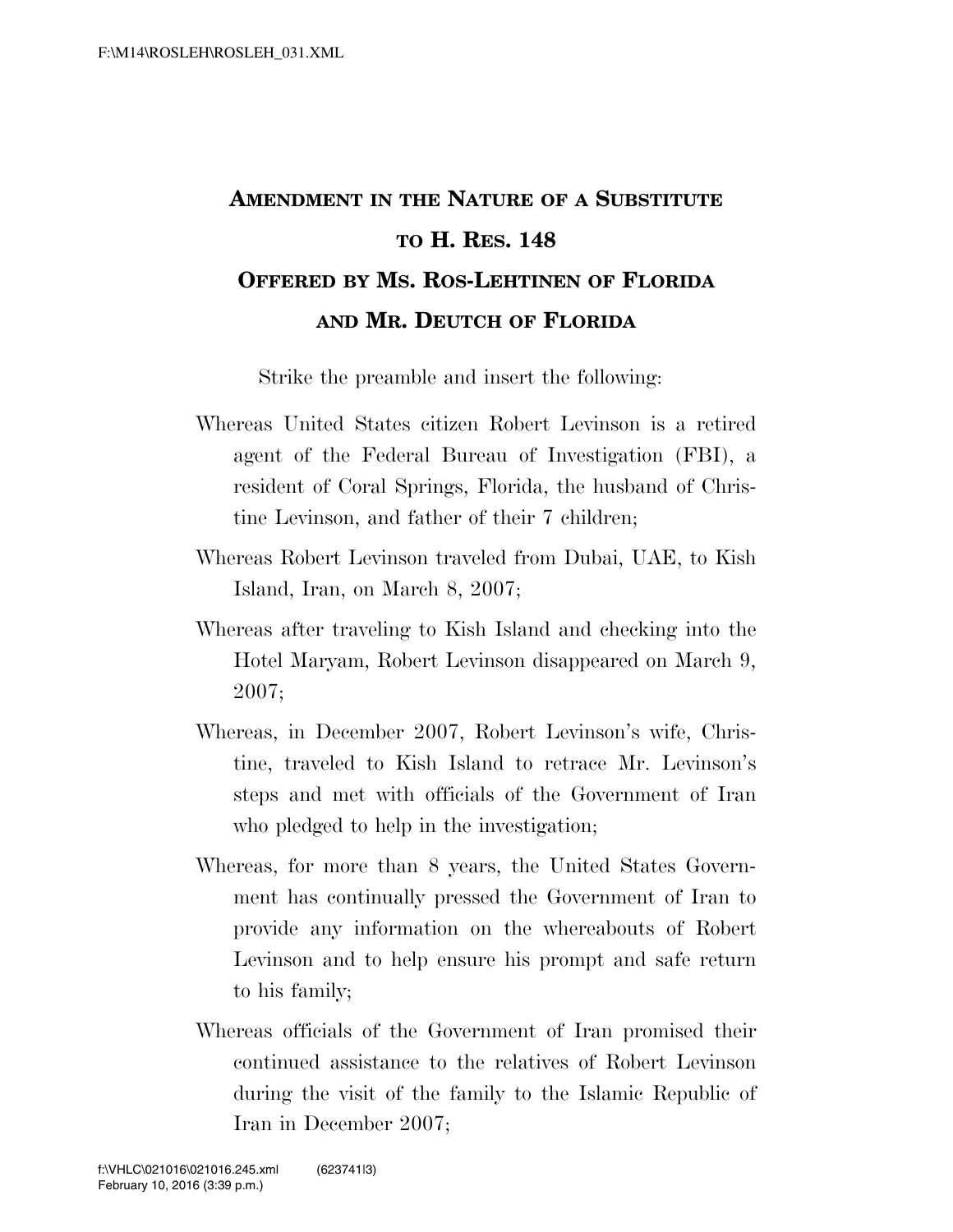## **AMENDMENT IN THE NATURE OF A SUBSTITUTE TO H. RES. 148 OFFERED BY MS. ROS-LEHTINEN OF FLORIDA AND MR. DEUTCH OF FLORIDA**

Strike the preamble and insert the following:

- Whereas United States citizen Robert Levinson is a retired agent of the Federal Bureau of Investigation (FBI), a resident of Coral Springs, Florida, the husband of Christine Levinson, and father of their 7 children;
- Whereas Robert Levinson traveled from Dubai, UAE, to Kish Island, Iran, on March 8, 2007;
- Whereas after traveling to Kish Island and checking into the Hotel Maryam, Robert Levinson disappeared on March 9, 2007;
- Whereas, in December 2007, Robert Levinson's wife, Christine, traveled to Kish Island to retrace Mr. Levinson's steps and met with officials of the Government of Iran who pledged to help in the investigation;
- Whereas, for more than 8 years, the United States Government has continually pressed the Government of Iran to provide any information on the whereabouts of Robert Levinson and to help ensure his prompt and safe return to his family;
- Whereas officials of the Government of Iran promised their continued assistance to the relatives of Robert Levinson during the visit of the family to the Islamic Republic of Iran in December 2007;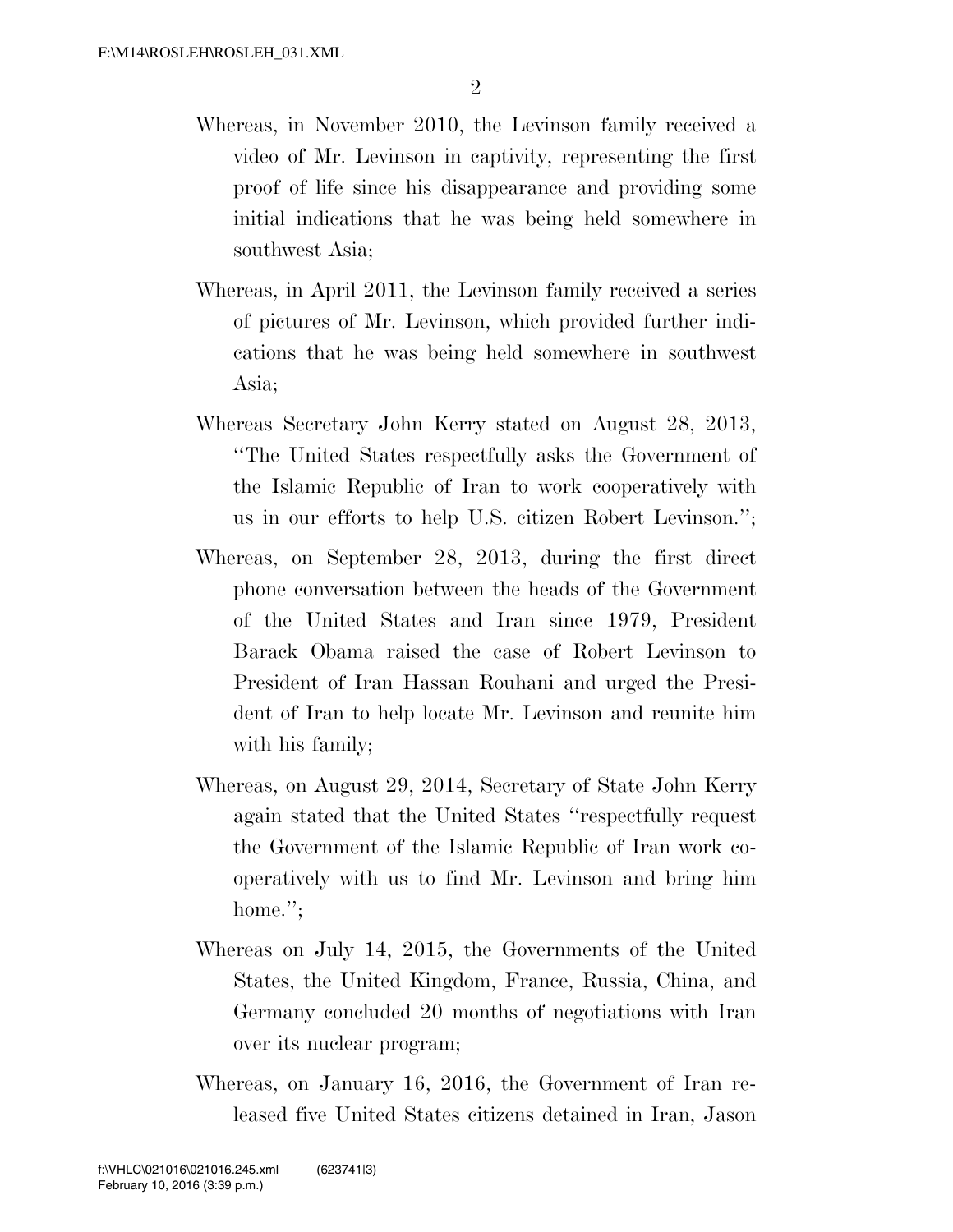- Whereas, in November 2010, the Levinson family received a video of Mr. Levinson in captivity, representing the first proof of life since his disappearance and providing some initial indications that he was being held somewhere in southwest Asia;
- Whereas, in April 2011, the Levinson family received a series of pictures of Mr. Levinson, which provided further indications that he was being held somewhere in southwest Asia;
- Whereas Secretary John Kerry stated on August 28, 2013, ''The United States respectfully asks the Government of the Islamic Republic of Iran to work cooperatively with us in our efforts to help U.S. citizen Robert Levinson.'';
- Whereas, on September 28, 2013, during the first direct phone conversation between the heads of the Government of the United States and Iran since 1979, President Barack Obama raised the case of Robert Levinson to President of Iran Hassan Rouhani and urged the President of Iran to help locate Mr. Levinson and reunite him with his family;
- Whereas, on August 29, 2014, Secretary of State John Kerry again stated that the United States ''respectfully request the Government of the Islamic Republic of Iran work cooperatively with us to find Mr. Levinson and bring him home.":
- Whereas on July 14, 2015, the Governments of the United States, the United Kingdom, France, Russia, China, and Germany concluded 20 months of negotiations with Iran over its nuclear program;
- Whereas, on January 16, 2016, the Government of Iran released five United States citizens detained in Iran, Jason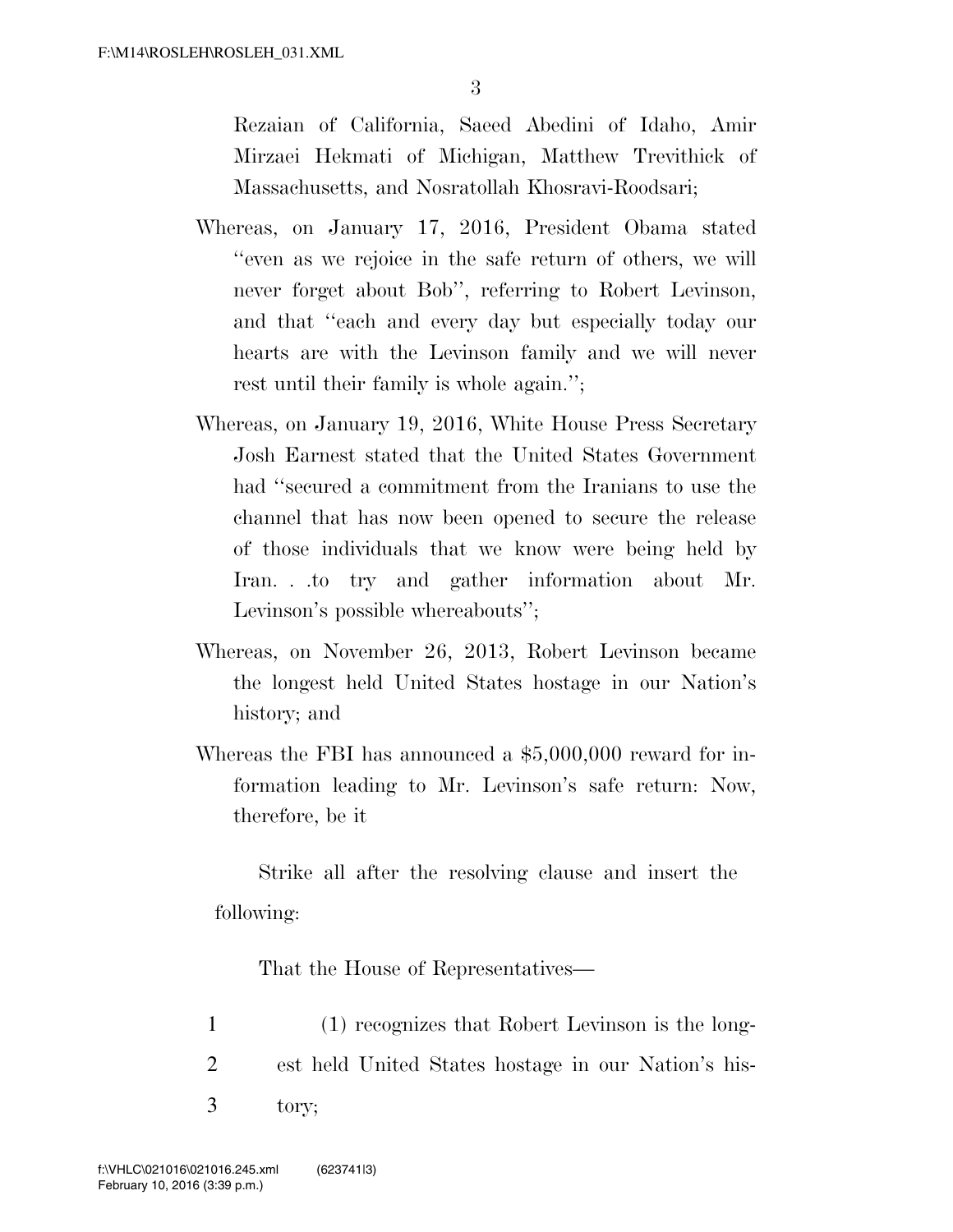Rezaian of California, Saeed Abedini of Idaho, Amir Mirzaei Hekmati of Michigan, Matthew Trevithick of Massachusetts, and Nosratollah Khosravi-Roodsari;

- Whereas, on January 17, 2016, President Obama stated ''even as we rejoice in the safe return of others, we will never forget about Bob'', referring to Robert Levinson, and that ''each and every day but especially today our hearts are with the Levinson family and we will never rest until their family is whole again.'';
- Whereas, on January 19, 2016, White House Press Secretary Josh Earnest stated that the United States Government had ''secured a commitment from the Iranians to use the channel that has now been opened to secure the release of those individuals that we know were being held by Iran. . .to try and gather information about Mr. Levinson's possible whereabouts'';
- Whereas, on November 26, 2013, Robert Levinson became the longest held United States hostage in our Nation's history; and
- Whereas the FBI has announced a \$5,000,000 reward for information leading to Mr. Levinson's safe return: Now, therefore, be it

Strike all after the resolving clause and insert the following:

That the House of Representatives—

1 (1) recognizes that Robert Levinson is the long-2 est held United States hostage in our Nation's his-3 tory;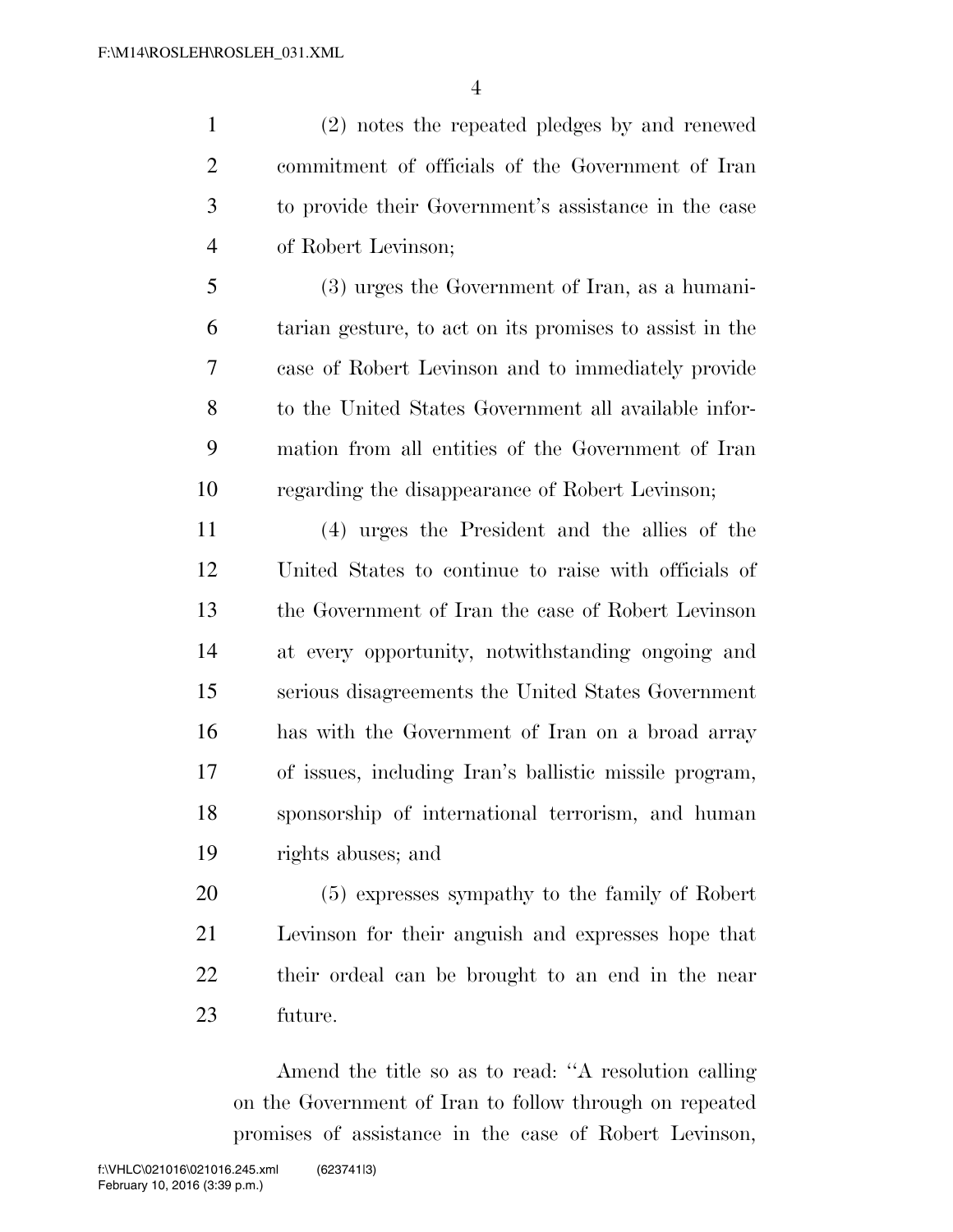(2) notes the repeated pledges by and renewed commitment of officials of the Government of Iran to provide their Government's assistance in the case of Robert Levinson;

 (3) urges the Government of Iran, as a humani- tarian gesture, to act on its promises to assist in the case of Robert Levinson and to immediately provide to the United States Government all available infor- mation from all entities of the Government of Iran regarding the disappearance of Robert Levinson;

 (4) urges the President and the allies of the United States to continue to raise with officials of the Government of Iran the case of Robert Levinson at every opportunity, notwithstanding ongoing and serious disagreements the United States Government has with the Government of Iran on a broad array of issues, including Iran's ballistic missile program, sponsorship of international terrorism, and human rights abuses; and

 (5) expresses sympathy to the family of Robert Levinson for their anguish and expresses hope that their ordeal can be brought to an end in the near future.

Amend the title so as to read: ''A resolution calling on the Government of Iran to follow through on repeated promises of assistance in the case of Robert Levinson,